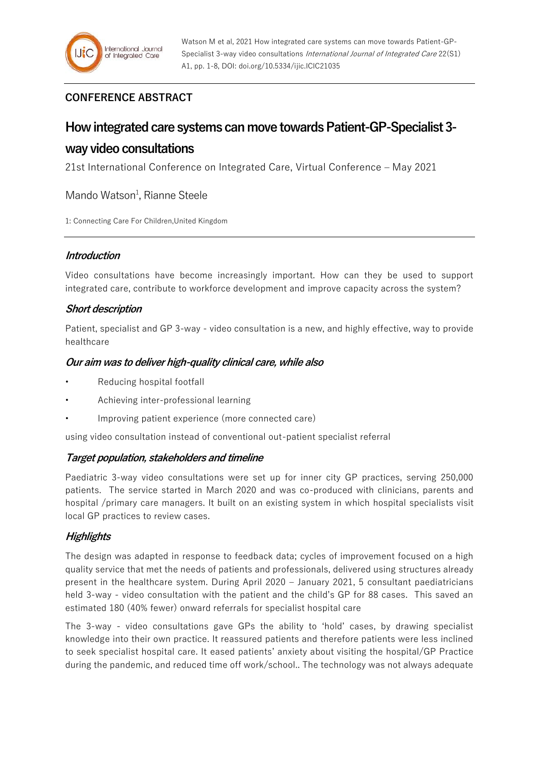## **CONFERENCE ABSTRACT**

# **How integrated care systems can move towards Patient-GP-Specialist 3 way video consultations**

21st International Conference on Integrated Care, Virtual Conference – May 2021

Mando Watson<sup>1</sup>, Rianne Steele

1: Connecting Care For Children,United Kingdom

## **Introduction**

Video consultations have become increasingly important. How can they be used to support integrated care, contribute to workforce development and improve capacity across the system?

## **Short description**

Patient, specialist and GP 3-way - video consultation is a new, and highly effective, way to provide healthcare

## **Our aim was to deliver high-quality clinical care, while also**

- Reducing hospital footfall
- Achieving inter-professional learning
- Improving patient experience (more connected care)

using video consultation instead of conventional out-patient specialist referral

## **Target population, stakeholders and timeline**

Paediatric 3-way video consultations were set up for inner city GP practices, serving 250,000 patients. The service started in March 2020 and was co-produced with clinicians, parents and hospital /primary care managers. It built on an existing system in which hospital specialists visit local GP practices to review cases.

## **Highlights**

The design was adapted in response to feedback data; cycles of improvement focused on a high quality service that met the needs of patients and professionals, delivered using structures already present in the healthcare system. During April 2020 – January 2021, 5 consultant paediatricians held 3-way - video consultation with the patient and the child's GP for 88 cases. This saved an estimated 180 (40% fewer) onward referrals for specialist hospital care

The 3-way - video consultations gave GPs the ability to 'hold' cases, by drawing specialist knowledge into their own practice. It reassured patients and therefore patients were less inclined to seek specialist hospital care. It eased patients' anxiety about visiting the hospital/GP Practice during the pandemic, and reduced time off work/school.. The technology was not always adequate